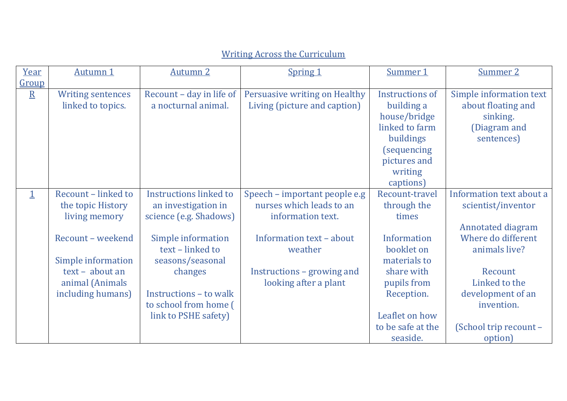## Writing Across the Curriculum

| Year                    | Autumn 1                 | <b>Autumn 2</b>               | <b>Spring 1</b>               | Summer 1            | Summer 2                 |
|-------------------------|--------------------------|-------------------------------|-------------------------------|---------------------|--------------------------|
| Group                   |                          |                               |                               |                     |                          |
| $\overline{\mathbf{R}}$ | <b>Writing sentences</b> | Recount - day in life of      | Persuasive writing on Healthy | Instructions of     | Simple information text  |
|                         | linked to topics.        | a nocturnal animal.           | Living (picture and caption)  | building a          | about floating and       |
|                         |                          |                               |                               | house/bridge        | sinking.                 |
|                         |                          |                               |                               | linked to farm      | (Diagram and             |
|                         |                          |                               |                               | buildings           | sentences)               |
|                         |                          |                               |                               | <i>(sequencing)</i> |                          |
|                         |                          |                               |                               | pictures and        |                          |
|                         |                          |                               |                               | writing             |                          |
|                         |                          |                               |                               | captions)           |                          |
| $\mathbf 1$             | Recount - linked to      | <b>Instructions linked to</b> | Speech – important people e.g | Recount-travel      | Information text about a |
|                         | the topic History        | an investigation in           | nurses which leads to an      | through the         | scientist/inventor       |
|                         | living memory            | science (e.g. Shadows)        | information text.             | times               |                          |
|                         |                          |                               |                               |                     | <b>Annotated diagram</b> |
|                         | Recount - weekend        | Simple information            | Information text - about      | Information         | Where do different       |
|                         |                          | text - linked to              | weather                       | booklet on          | animals live?            |
|                         | Simple information       | seasons/seasonal              |                               | materials to        |                          |
|                         | text - about an          | changes                       | Instructions - growing and    | share with          | Recount                  |
|                         | animal (Animals          |                               | looking after a plant         | pupils from         | Linked to the            |
|                         | including humans)        | Instructions - to walk        |                               | Reception.          | development of an        |
|                         |                          | to school from home (         |                               |                     | invention.               |
|                         |                          | link to PSHE safety)          |                               | Leaflet on how      |                          |
|                         |                          |                               |                               | to be safe at the   | (School trip recount -   |
|                         |                          |                               |                               | seaside.            | option)                  |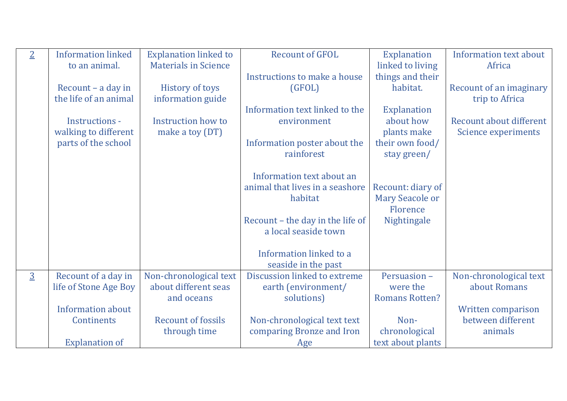| $\overline{2}$ | <b>Information linked</b> | <b>Explanation linked to</b> | <b>Recount of GFOL</b>           | <b>Explanation</b>     | Information text about         |
|----------------|---------------------------|------------------------------|----------------------------------|------------------------|--------------------------------|
|                | to an animal.             | <b>Materials in Science</b>  |                                  | linked to living       | Africa                         |
|                |                           |                              | Instructions to make a house     | things and their       |                                |
|                | Recount – a day in        | <b>History of toys</b>       | (GFOL)                           | habitat.               | <b>Recount of an imaginary</b> |
|                | the life of an animal     | information guide            |                                  |                        | trip to Africa                 |
|                |                           |                              | Information text linked to the   | <b>Explanation</b>     |                                |
|                | Instructions -            | Instruction how to           | environment                      | about how              | Recount about different        |
|                | walking to different      | make a toy (DT)              |                                  | plants make            | Science experiments            |
|                | parts of the school       |                              | Information poster about the     | their own food/        |                                |
|                |                           |                              | rainforest                       | stay green/            |                                |
|                |                           |                              |                                  |                        |                                |
|                |                           |                              | Information text about an        |                        |                                |
|                |                           |                              | animal that lives in a seashore  | Recount: diary of      |                                |
|                |                           |                              | habitat                          | <b>Mary Seacole or</b> |                                |
|                |                           |                              |                                  | Florence               |                                |
|                |                           |                              | Recount - the day in the life of | Nightingale            |                                |
|                |                           |                              | a local seaside town             |                        |                                |
|                |                           |                              |                                  |                        |                                |
|                |                           |                              | Information linked to a          |                        |                                |
|                |                           |                              | seaside in the past              |                        |                                |
| $\overline{3}$ | Recount of a day in       | Non-chronological text       | Discussion linked to extreme     | Persuasion -           | Non-chronological text         |
|                | life of Stone Age Boy     | about different seas         | earth (environment/              | were the               | about Romans                   |
|                |                           | and oceans                   | solutions)                       | <b>Romans Rotten?</b>  |                                |
|                | <b>Information about</b>  |                              |                                  |                        | <b>Written comparison</b>      |
|                | <b>Continents</b>         | <b>Recount of fossils</b>    | Non-chronological text text      | Non-                   | between different              |
|                |                           | through time                 | comparing Bronze and Iron        | chronological          | animals                        |
|                | <b>Explanation of</b>     |                              | Age                              | text about plants      |                                |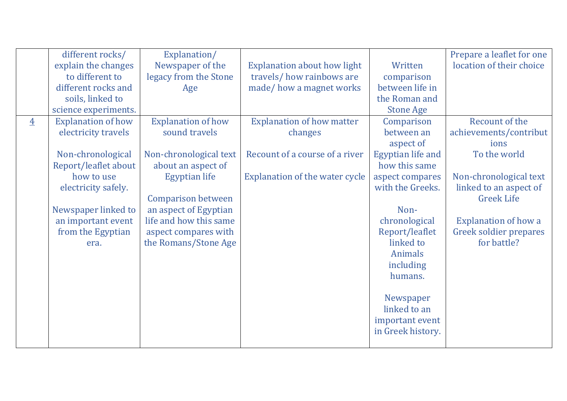|                | different rocks/<br>explain the changes<br>to different to<br>different rocks and<br>soils, linked to<br>science experiments.                                                                                | Explanation/<br>Newspaper of the<br>legacy from the Stone<br>Age                                                                                                                                                                                   | <b>Explanation about how light</b><br>travels/how rainbows are<br>made/how a magnet works                       | Written<br>comparison<br>between life in<br>the Roman and<br><b>Stone Age</b>                                                                                                                                                                                                                    | Prepare a leaflet for one<br>location of their choice                                                                                                                                                             |
|----------------|--------------------------------------------------------------------------------------------------------------------------------------------------------------------------------------------------------------|----------------------------------------------------------------------------------------------------------------------------------------------------------------------------------------------------------------------------------------------------|-----------------------------------------------------------------------------------------------------------------|--------------------------------------------------------------------------------------------------------------------------------------------------------------------------------------------------------------------------------------------------------------------------------------------------|-------------------------------------------------------------------------------------------------------------------------------------------------------------------------------------------------------------------|
| $\overline{4}$ | <b>Explanation of how</b><br>electricity travels<br>Non-chronological<br>Report/leaflet about<br>how to use<br>electricity safely.<br>Newspaper linked to<br>an important event<br>from the Egyptian<br>era. | <b>Explanation of how</b><br>sound travels<br>Non-chronological text<br>about an aspect of<br><b>Egyptian life</b><br><b>Comparison between</b><br>an aspect of Egyptian<br>life and how this same<br>aspect compares with<br>the Romans/Stone Age | <b>Explanation of how matter</b><br>changes<br>Recount of a course of a river<br>Explanation of the water cycle | Comparison<br>between an<br>aspect of<br><b>Egyptian life and</b><br>how this same<br>aspect compares<br>with the Greeks.<br>Non-<br>chronological<br>Report/leaflet<br>linked to<br><b>Animals</b><br>including<br>humans.<br>Newspaper<br>linked to an<br>important event<br>in Greek history. | Recount of the<br>achievements/contribut<br>ions<br>To the world<br>Non-chronological text<br>linked to an aspect of<br><b>Greek Life</b><br><b>Explanation of how a</b><br>Greek soldier prepares<br>for battle? |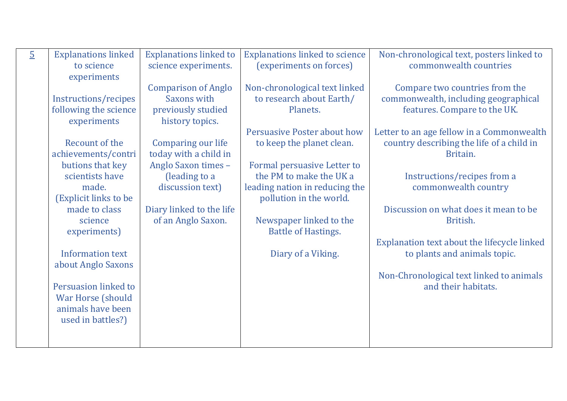| $\overline{5}$ | <b>Explanations linked</b>          | <b>Explanations linked to</b>     | <b>Explanations linked to science</b>                  | Non-chronological text, posters linked to           |
|----------------|-------------------------------------|-----------------------------------|--------------------------------------------------------|-----------------------------------------------------|
|                | to science                          | science experiments.              | (experiments on forces)                                | commonwealth countries                              |
|                | experiments                         |                                   |                                                        |                                                     |
|                |                                     | <b>Comparison of Anglo</b>        | Non-chronological text linked                          | Compare two countries from the                      |
|                | Instructions/recipes                | Saxons with                       | to research about Earth/                               | commonwealth, including geographical                |
|                | following the science               | previously studied                | Planets.                                               | features. Compare to the UK.                        |
|                | experiments                         | history topics.                   |                                                        |                                                     |
|                |                                     |                                   | <b>Persuasive Poster about how</b>                     | Letter to an age fellow in a Commonwealth           |
|                | Recount of the                      | Comparing our life                | to keep the planet clean.                              | country describing the life of a child in           |
|                | achievements/contri                 | today with a child in             |                                                        | Britain.                                            |
|                | butions that key<br>scientists have | Anglo Saxon times -               | Formal persuasive Letter to<br>the PM to make the UK a |                                                     |
|                | made.                               | (leading to a<br>discussion text) | leading nation in reducing the                         | Instructions/recipes from a<br>commonwealth country |
|                | (Explicit links to be               |                                   | pollution in the world.                                |                                                     |
|                | made to class                       | Diary linked to the life          |                                                        | Discussion on what does it mean to be               |
|                | science                             | of an Anglo Saxon.                | Newspaper linked to the                                | British.                                            |
|                | experiments)                        |                                   | <b>Battle of Hastings.</b>                             |                                                     |
|                |                                     |                                   |                                                        | Explanation text about the lifecycle linked         |
|                | <b>Information text</b>             |                                   | Diary of a Viking.                                     | to plants and animals topic.                        |
|                | about Anglo Saxons                  |                                   |                                                        |                                                     |
|                |                                     |                                   |                                                        | Non-Chronological text linked to animals            |
|                | Persuasion linked to                |                                   |                                                        | and their habitats.                                 |
|                | <b>War Horse (should</b>            |                                   |                                                        |                                                     |
|                | animals have been                   |                                   |                                                        |                                                     |
|                | used in battles?)                   |                                   |                                                        |                                                     |
|                |                                     |                                   |                                                        |                                                     |
|                |                                     |                                   |                                                        |                                                     |